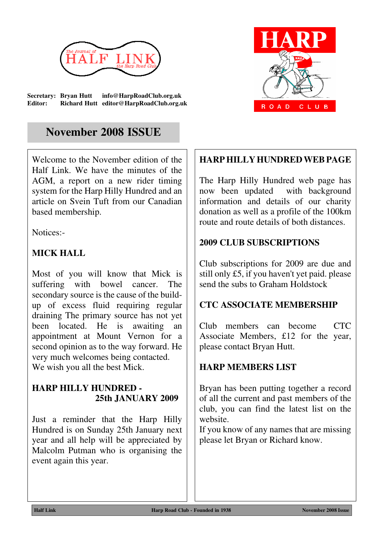

**Secretary: Bryan Hutt info@HarpRoadClub.org.uk Editor: Richard Hutt editor@HarpRoadClub.org.uk**

# **November 2008 ISSUE**

Welcome to the November edition of the Half Link. We have the minutes of the AGM, a report on a new rider timing system for the Harp Hilly Hundred and an article on Svein Tuft from our Canadian based membership.

Notices:-

## **MICK HALL**

Most of you will know that Mick is suffering with bowel cancer. The secondary source is the cause of the buildup of excess fluid requiring regular draining The primary source has not yet been located. He is awaiting an appointment at Mount Vernon for a second opinion as to the way forward. He very much welcomes being contacted. We wish you all the best Mick.

## **HARP HILLY HUNDRED - 25th JANUARY 2009**

Just a reminder that the Harp Hilly Hundred is on Sunday 25th January next year and all help will be appreciated by Malcolm Putman who is organising the event again this year.



## **HARP HILLY HUNDRED WEB PAGE**

The Harp Hilly Hundred web page has now been updated with background information and details of our charity donation as well as a profile of the 100km route and route details of both distances.

## **2009 CLUB SUBSCRIPTIONS**

Club subscriptions for 2009 are due and still only £5, if you haven't yet paid. please send the subs to Graham Holdstock

## **CTC ASSOCIATE MEMBERSHIP**

Club members can become CTC Associate Members, £12 for the year, please contact Bryan Hutt.

## **HARP MEMBERS LIST**

Bryan has been putting together a record of all the current and past members of the club, you can find the latest list on the website.

If you know of any names that are missing please let Bryan or Richard know.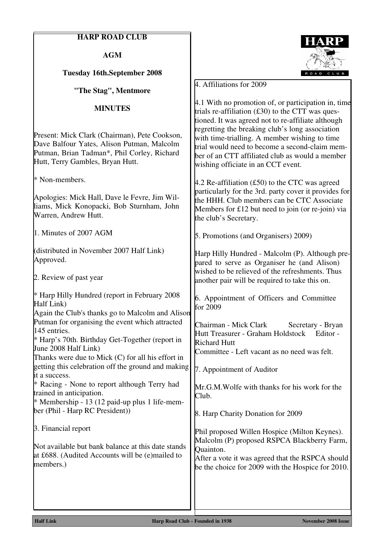### **HARP ROAD CLUB**

**AGM**

### **Tuesday 16th.September 2008**

**"The Stag", Mentmore**

#### **MINUTES**

Present: Mick Clark (Chairman), Pete Cookson, Dave Balfour Yates, Alison Putman, Malcolm Putman, Brian Tadman\*, Phil Corley, Richard Hutt, Terry Gambles, Bryan Hutt.

\* Non-members.

Apologies: Mick Hall, Dave le Fevre, Jim Williams, Mick Konopacki, Bob Sturnham, John Warren, Andrew Hutt.

1. Minutes of 2007 AGM

(distributed in November 2007 Half Link) Approved.

2. Review of past year

\* Harp Hilly Hundred (report in February 2008 Half Link)

Again the Club's thanks go to Malcolm and Alison Putman for organising the event which attracted 145 entries.

\* Harp's 70th. Birthday Get-Together (report in June 2008 Half Link)

Thanks were due to Mick (C) for all his effort in getting this celebration off the ground and making it a success.

\* Racing - None to report although Terry had trained in anticipation.

 $*$  Membership - 13 (12 paid-up plus 1 life-member (Phil - Harp RC President))

3. Financial report

Not available but bank balance at this date stands at £688. (Audited Accounts will be (e)mailed to members.)



4. Affiliations for 2009

4.1 With no promotion of, or participation in, time trials re-affiliation  $(f30)$  to the CTT was questioned. It was agreed not to re-affiliate although regretting the breaking club's long association with time-trialling. A member wishing to time trial would need to become a second-claim member of an CTT affiliated club as would a member wishing officiate in an CCT event.

4.2 Re-affiliation (£50) to the CTC was agreed particularly for the 3rd. party cover it provides for the HHH. Club members can be CTC Associate Members for £12 but need to join (or re-join) via the club's Secretary.

5. Promotions (and Organisers) 2009)

Harp Hilly Hundred - Malcolm (P). Although prepared to serve as Organiser he (and Alison) wished to be relieved of the refreshments. Thus another pair will be required to take this on.

6. Appointment of Officers and Committee for 2009

Chairman - Mick Clark Secretary - Bryan Hutt Treasurer - Graham Holdstock Editor - Richard Hutt Committee - Left vacant as no need was felt.

7. Appointment of Auditor

Mr.G.M.Wolfe with thanks for his work for the Club.

8. Harp Charity Donation for 2009

Phil proposed Willen Hospice (Milton Keynes). Malcolm (P) proposed RSPCA Blackberry Farm, Quainton.

After a vote it was agreed that the RSPCA should be the choice for 2009 with the Hospice for 2010.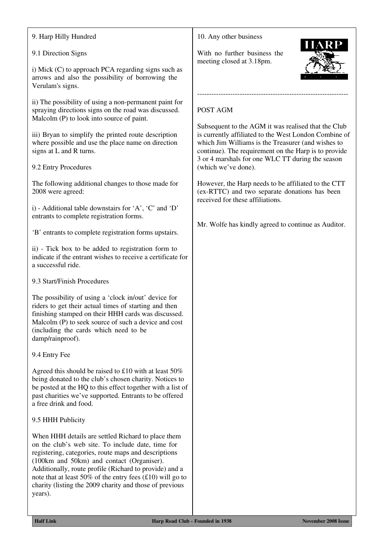### 9. Harp Hilly Hundred

### 9.1 Direction Signs

i) Mick (C) to approach PCA regarding signs such as arrows and also the possibility of borrowing the Verulam's signs.

ii) The possibility of using a non-permanent paint for spraying directions signs on the road was discussed. Malcolm (P) to look into source of paint.

iii) Bryan to simplify the printed route description where possible and use the place name on direction signs at L and R turns.

#### 9.2 Entry Procedures

The following additional changes to those made for 2008 were agreed:

i) - Additional table downstairs for 'A', 'C' and 'D' entrants to complete registration forms.

'B' entrants to complete registration forms upstairs.

ii) - Tick box to be added to registration form to indicate if the entrant wishes to receive a certificate for a successful ride.

9.3 Start/Finish Procedures

The possibility of using a 'clock in/out' device for riders to get their actual times of starting and then finishing stamped on their HHH cards was discussed. Malcolm (P) to seek source of such a device and cost (including the cards which need to be damp/rainproof).

#### 9.4 Entry Fee

Agreed this should be raised to £10 with at least 50% being donated to the club's chosen charity. Notices to be posted at the HQ to this effect together with a list of past charities we've supported. Entrants to be offered a free drink and food.

#### 9.5 HHH Publicity

When HHH details are settled Richard to place them on the club's web site. To include date, time for registering, categories, route maps and descriptions (100km and 50km) and contact (Organiser). Additionally, route profile (Richard to provide) and a note that at least  $50\%$  of the entry fees (£10) will go to charity (listing the 2009 charity and those of previous years).

#### 10. Any other business

With no further business the meeting closed at 3.18pm.

### POST AGM

Subsequent to the AGM it was realised that the Club is currently affiliated to the West London Combine of which Jim Williams is the Treasurer (and wishes to continue). The requirement on the Harp is to provide 3 or 4 marshals for one WLC TT during the season (which we've done).

----------------------------------------------------------------

However, the Harp needs to be affiliated to the CTT (ex-RTTC) and two separate donations has been received for these affiliations.

Mr. Wolfe has kindly agreed to continue as Auditor.

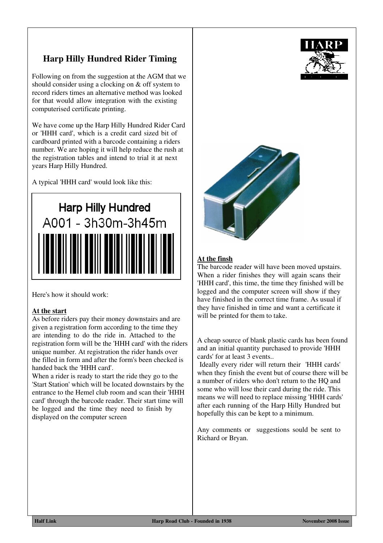## **Harp Hilly Hundred Rider Timing**

Following on from the suggestion at the AGM that we should consider using a clocking on & off system to record riders times an alternative method was looked for that would allow integration with the existing computerised certificate printing.

We have come up the Harp Hilly Hundred Rider Card or 'HHH card', which is a credit card sized bit of cardboard printed with a barcode containing a riders number. We are hoping it will help reduce the rush at the registration tables and intend to trial it at next years Harp Hilly Hundred.

A typical 'HHH card' would look like this:



Here's how it should work:

#### **At the start**

As before riders pay their money downstairs and are given a registration form according to the time they are intending to do the ride in. Attached to the registration form will be the 'HHH card' with the riders unique number. At registration the rider hands over the filled in form and after the form's been checked is handed back the 'HHH card'.

When a rider is ready to start the ride they go to the 'Start Station' which will be located downstairs by the entrance to the Hemel club room and scan their 'HHH card' through the barcode reader. Their start time will be logged and the time they need to finish by displayed on the computer screen



### **At the finsh**

The barcode reader will have been moved upstairs. When a rider finishes they will again scans their 'HHH card', this time, the time they finished will be logged and the computer screen will show if they have finished in the correct time frame. As usual if they have finished in time and want a certificate it will be printed for them to take.

A cheap source of blank plastic cards has been found and an initial quantity purchased to provide 'HHH cards' for at least 3 events..

 Ideally every rider will return their 'HHH cards' when they finish the event but of course there will be a number of riders who don't return to the HQ and some who will lose their card during the ride. This means we will need to replace missing 'HHH cards' after each running of the Harp Hilly Hundred but hopefully this can be kept to a minimum.

Any comments or suggestions sould be sent to Richard or Bryan.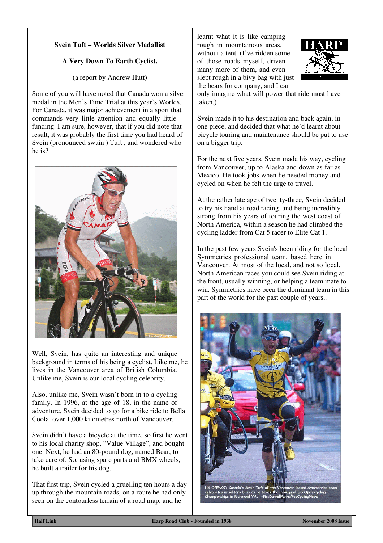### **Svein Tuft – Worlds Silver Medallist**

### **A Very Down To Earth Cyclist.**

(a report by Andrew Hutt)

Some of you will have noted that Canada won a silver medal in the Men's Time Trial at this year's Worlds. For Canada, it was major achievement in a sport that commands very little attention and equally little funding. I am sure, however, that if you did note that result, it was probably the first time you had heard of Svein (pronounced swain ) Tuft , and wondered who he is?



Well, Svein, has quite an interesting and unique background in terms of his being a cyclist. Like me, he lives in the Vancouver area of British Columbia. Unlike me, Svein is our local cycling celebrity.

Also, unlike me, Svein wasn't born in to a cycling family. In 1996, at the age of 18, in the name of adventure, Svein decided to go for a bike ride to Bella Coola, over 1,000 kilometres north of Vancouver.

Svein didn't have a bicycle at the time, so first he went to his local charity shop, "Value Village", and bought one. Next, he had an 80-pound dog, named Bear, to take care of. So, using spare parts and BMX wheels, he built a trailer for his dog.

That first trip, Svein cycled a gruelling ten hours a day up through the mountain roads, on a route he had only seen on the contourless terrain of a road map, and he

learnt what it is like camping rough in mountainous areas, without a tent. (I've ridden some of those roads myself, driven many more of them, and even slept rough in a bivy bag with just the bears for company, and I can



only imagine what will power that ride must have taken.)

Svein made it to his destination and back again, in one piece, and decided that what he'd learnt about bicycle touring and maintenance should be put to use on a bigger trip.

For the next five years, Svein made his way, cycling from Vancouver, up to Alaska and down as far as Mexico. He took jobs when he needed money and cycled on when he felt the urge to travel.

At the rather late age of twenty-three, Svein decided to try his hand at road racing, and being incredibly strong from his years of touring the west coast of North America, within a season he had climbed the cycling ladder from Cat 5 racer to Elite Cat 1.

In the past few years Svein's been riding for the local Symmetrics professional team, based here in Vancouver. At most of the local, and not so local, North American races you could see Svein riding at the front, usually winning, or helping a team mate to win. Symmetrics have been the dominant team in this part of the world for the past couple of years..



**Half Link Harp Road Club - Founded in 1938 November 2008 Issue**